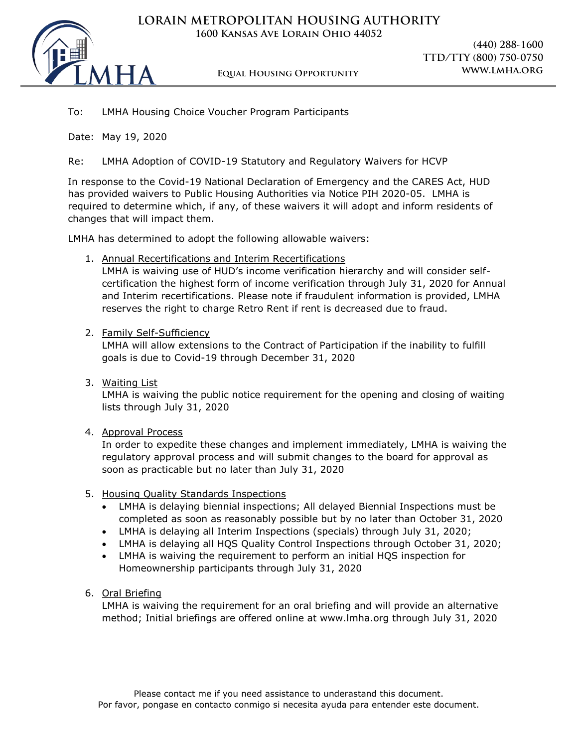



**Equal Housing Opportunity www.lmha.org**

**(440) 288-1600 TTD/TTY (800) 750-0750**

## To: LMHA Housing Choice Voucher Program Participants

Date: May 19, 2020

Re: LMHA Adoption of COVID-19 Statutory and Regulatory Waivers for HCVP

In response to the Covid-19 National Declaration of Emergency and the CARES Act, HUD has provided waivers to Public Housing Authorities via Notice PIH 2020-05. LMHA is required to determine which, if any, of these waivers it will adopt and inform residents of changes that will impact them.

LMHA has determined to adopt the following allowable waivers:

1. Annual Recertifications and Interim Recertifications

LMHA is waiving use of HUD's income verification hierarchy and will consider selfcertification the highest form of income verification through July 31, 2020 for Annual and Interim recertifications. Please note if fraudulent information is provided, LMHA reserves the right to charge Retro Rent if rent is decreased due to fraud.

#### 2. Family Self-Sufficiency

LMHA will allow extensions to the Contract of Participation if the inability to fulfill goals is due to Covid-19 through December 31, 2020

3. Waiting List

LMHA is waiving the public notice requirement for the opening and closing of waiting lists through July 31, 2020

#### 4. Approval Process

In order to expedite these changes and implement immediately, LMHA is waiving the regulatory approval process and will submit changes to the board for approval as soon as practicable but no later than July 31, 2020

#### 5. Housing Quality Standards Inspections

- LMHA is delaying biennial inspections; All delayed Biennial Inspections must be completed as soon as reasonably possible but by no later than October 31, 2020
- LMHA is delaying all Interim Inspections (specials) through July 31, 2020;
- LMHA is delaying all HQS Quality Control Inspections through October 31, 2020;
- LMHA is waiving the requirement to perform an initial HQS inspection for Homeownership participants through July 31, 2020

#### 6. Oral Briefing

LMHA is waiving the requirement for an oral briefing and will provide an alternative method; Initial briefings are offered online at www.lmha.org through July 31, 2020